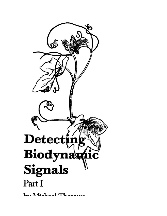

by Michael Thorne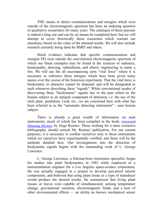THE means to detect communications and energies which exist outside of the electromagnetic spectrum has been an enduring question of qualitative researchers for many years. The catalogue of these pursuits is indeed a long one and can by no means be completed here, but we will attempt to cover historically those researches which warrant our attentions, based on the value of the attained results. We will also include research currently being done by BSRF and others.

Much evidence indicates that specific communications and energies DO exist outside the conventional electromagnetic spectrum of which our finest examples may be found in the sciences of radionics, homeopathy, dowsing, radiesthesia, and etheric engineering to name a few. We will use the all encompassing term "vital force" where it is necessary to reference these energies which have been given many names over the course of the historical experiment. That the vital force is biodynamic in character cannot be disputed, and will be designated as such whenever describing these "signals". While conventional modes of discovering these "biodynamic" signals has in the past relied on the human subject as an integral component of detection, i.e. the use of the stick plate, pendulum, l-rod, etc., we are concerned here with what has been referred to as the "automatic detecting instrument" - sans human subject.

There is already a great wealth of information on such instruments, much of which has been compiled in the book, [Automated](https://borderlandsciences.org/journal/vol/52/n03/Theroux_Detecting_Biodynamic_Signals_I.html#Resines-Automated-ref) [Detecting Devices](https://borderlandsciences.org/journal/vol/52/n03/Theroux_Detecting_Biodynamic_Signals_I.html#Resines-Automated-ref), by Jorge Resines. Those wishing for a more extensive bibliography should consult Mr. Resines' publication. For our current purposes, it is necessary to confine ourselves only to those instruments which we ourselves have experimentally verified, and these will be the methods detailed here. Our investigations into the detection of biodynamic signals begins with the outstanding work of L. George Lawrence.

L. George Lawrence, a Silesian-born electronics specialist, began his studies into plant biodynamics in 1962 while employed as a instrumentation engineer for a Los Angeles space-science corporation. He was actually engaged in a project to develop jam-proof missile components, and believed that using plant tissue as a type of transducer would produce the desired results. He summarized that living plant tissues or leaves were capable of simultaneously sensing temperature change, gravitational variation, electromagnetic fields, and a host of other environmental effects — an ability no known mechanical sensor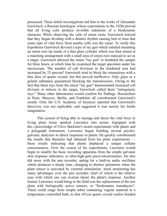possessed. These initial investigations led him to the works of Alexander Gurwitsch, a Russian histologist, whose experiments in the 1920s proved that all living cells produce invisible radiations of a biodynamic character. While observing the cells of onion roots, Gurwitsch noticed that they began dividing with a distinct rhythm causing him to trust that some type of vital force from nearby cells was the cause. To verify this hypothesis Gurwitsch devised a type of ray gun which entailed mounting an onion root tip inside of a thin glass cylinder which was then aimed at a matching arrangement with a small area of onion root exposed to act as a target. Gurwitsch allowed the onion "ray gun" to bombard the sample for three hours, at which time he examined the target specimen under his microscope. The number of cell divisions in the irradiated area had increased by 25 percent! Gurwitsch tried to block the emanations with a thin slice of quartz crystal, but this proved ineffective. Only glass or a gelatin substance guaranteed blocking the transmissions. Owing to the fact that these rays from the onion "ray gun" demonstrated increased cell division or mitosis in the target, Gurwitsch called them "mitogenetic rays." Many other laboratories would confirm his findings. Researchers in Paris, Moscow, Berlin, and Frankfort all corroborated Gurwitsch's results. Only the U.S. Academy of Sciences reported that Gurwitsch's discovery was not replicable, and suggested it was merely his fertile imagination.

This system of being able to manage and direct the vital force in living plant tissue sparked Lawrence into action. Equipped with the [49]knowledge of Cleve Backster's recent experiments with plants and a polygraph instrument, Lawrence began building several psychogalvanic analyzers to detect responses in plants. He quickly corroborated the results that Backster had obtained from his plant experiments these results indicating that plants displayed a unique cellular consciousness. Over the course of his experiments, Lawrence would begin to modify the basic recording apparatus from the simple galvanic skin response indicators, to ultra-high-gain piezo-electrometers. He also did away with the pen recorder, opting for a built-in audio oscillator which produces a steady tone, changing to distinct pulsations when the plant sensor is activated by external stimulation. Aural monitoring has many advantages over the pen recorder, chief of which is the relative ease with which one can oversee (hear) the plant's response. Another feature Lawrence would bring to the field was the replacement of the test plant with biologically active sensors, or "biodynamic transducers". These could range from simple tubes containing vegetal material in a temperature controlled bath, to thin AT-cut quartz crystal wafers bonded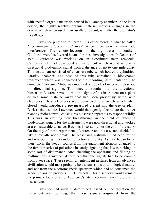with specific organic materials housed in a Faraday chamber. In the latter device, the highly reactive organic material induces changes in the crystal, which when used in an oscillator circuit, will alter the oscillator's frequency.

Lawrence preferred to perform his experiments in what he called "electromagnetic 'deep fringe' areas", where there were no man-made interferences. The remote locations of the high desert in southern California were his favored haunts for these investigations. In October of 1971, Lawrence was working on an experiment near Temecula, California. He had developed an instrument which would receive a directional biodynamic signal from a distance of up to one mile away. This instrument consisted of a lensless tube which housed a cylindrical Faraday chamber. The base of this tube contained a biodynamic transducer which was connected to the recording instrumentation. The complete "biosensor" tube was mounted on top of a low power telescope for directional sighting. To induce a stimulus into the directional biosensor, Lawrence would train the sights of his instrument on a plant or tree some distance away that had been previously wired with electrodes. These electrodes were connected to a switch which when closed would introduce a pre-measured current into the tree or plant. Back at the test site, Lawrence would then gently electrocute the tree or plant by radio control, causing his biosensor apparatus to respond wildly. This was an exciting new breakthrough in the field of detecting biodynamic signals for the instruments were now directional and worked at a considerable distance. But, this is certainly not the end of the story. On the day of these experiments, Lawrence and his assistant decided to take a late afternoon break. The biosensing instrument had been left on and was pointing in a random direction at the sky. As they began to eat their lunch, the steady sounds from the equipment abruptly changed to the familiar series of pulsations instantly signaling that it was picking up some sort of disturbance. After checking the apparatus and finding no malfunctions, Lawrence determined that the signals had to be coming from outer space! These seemingly intelligent gestures from an advanced civilisation would most probably be transmissions of a biological nature, and not from the electromagnetic spectrum which had so consumed the academicians of previous SETI projects. This discovery would remain the primary focus of all of Lawrence's later experiments with biosensing instruments.

Lawrence had initially determined, based on the direction the instrument was pointing, that these signals originated from the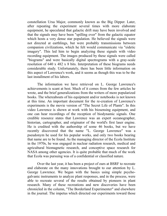constellation Ursa Major, commonly known as the Big Dipper. Later, after repeating the experiment several times with more elaborate equipment, he speculated that galactic drift may have been involved and that the signals may have been "spilling over" from the galactic equator which hosts a very dense star population. He believed the signals were not directed at earthlings, but were probably transmissions between companion civilizations, which he felt would communicate via "eidetic imagery". This led him to begin analyzing these signals with video recording equipment. The images produced by these signals were called "biograms" and were basically digital spectrograms with a gray-scale resolution of 640 x 482 x 8 bits. Interpretation of these biograms needs considerable study. Unfortunately, there has been little information on this aspect of Lawrence's work, and it seems as though this was to be the last installment of his labors.

The information we have retrieved on L. George Lawrence's achievements is scant at best. Much of it comes from the few articles he wrote, and the brief generalizations from the writers of more popularized books. The whereabouts of his equipment and/or notebooks is not known at this time. An important document for the re-creation of Lawrence's experiments is the movie version of "The Secret Life of Plants". In this video Lawrence is shown at work with his biosensing equipment, and one can hear recordings of the reception of biodynamic signals. One credible resource states that Lawrence was an expert oceanographer, historian, cartographer, and originator of the world's first laser engine. He is credited with the authorship of some 46 books, but we have recently discovered that the name "L. George Lawrence" was a pseudonym he used for his popular works, and only two books bearing that name are to be found. As the managing director of the Ecola Institute in the 1970s, he was engaged in nuclear radiation research, medical and agricultural biomagnetic research, and conceptive space research for NASA among other agencies. It is quite probable that much of the work that Ecola was pursuing was of a confidential or classified nature.

Over the last year, it has been a project of ours at BSRF to recreate and elaborate on the many innovations brought to our attention by L. George Lawrence. We began with the basics using simple psychogalvanic instruments to analyze plant responses, and in the process, were able to recreate several of the results obtained by pioneers in plant research. Many of these recreations and new discoveries have been chronicled in the column, "The Borderland Experimenter" and elsewhere in the journal. The impetus which directed our experiments toward those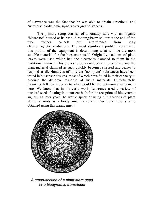of Lawrence was the fact that he was able to obtain directional and "wireless" biodynamic signals over great distances.

The primary setup consists of a Faraday tube with an organic "biosensor" housed at its base. A rotating beam splitter at the end of the tube further cancels out interference from stray electromagnetic<sub>[50]</sub>radiations. The most significant problem concerning this portion of the equipment is determining what will be the most suitable material for the biosensor itself. Originally, sections of plant leaves were used which had the electrodes clamped to them in the traditional manner. This proves to be a cumbersome procedure, and the plant material clamped as such quickly becomes stressed and ceases to respond at all. Hundreds of different "non-plant" substances have been tested in biosensor designs, most of which have failed in their capacity to produce the dynamic response of living materials. Unfortunately, Lawrence left few clues as to what would be the optimum arrangement here. We know that in his early work, Lawrence used a variety of mustard seeds floating in a nutrient bath for the reception of biodynamic signals. In later years, he would speak of using thin sections of plant stems or roots as a biodynamic transducer. Our finest results were obtained using this arrangement.



A cross-section of a plant stem used as a biodynamic transducer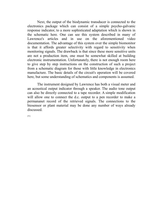Next, the output of the biodynamic transducer is connected to the electronics package which can consist of a simple psycho-galvanic response indicator, to a more sophisticated adaptation which is shown in the schematic here. One can see this system described in many of Lawrence's articles and in use on the aforementioned video documentation. The advantage of this system over the simple biomonitor is that it affords greater selectivity with regard to sensitivity when monitoring signals. The drawback is that since these more sensitive units are not a production item, one must be somewhat skilled at building electronic instrumentation. Unfortunately, there is not enough room here to give step by step instructions on the construction of such a project from a schematic diagram for those with little knowledge in electronics manufacture. The basic details of the circuit's operation will be covered here, but some understanding of schematics and components is assumed.

The instrument designed by Lawrence has both a visual meter and an acoustical output indicator through a speaker. The audio tone output can also be directly connected to a tape recorder. A simple modification will allow one to connect the d.c. output to a pen recorder to make a permananet record of the retrieved signals. The connections to the biosensor or plant material may be done any number of ways already discussed.

[51]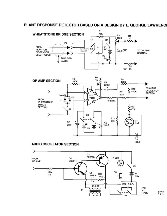# PLANT RESPONSE DETECTOR BASED ON A DESIGN BY L. GEORGE LAWRENCI

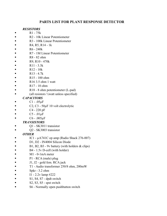# **PARTS LIST FOR PLANT RESPONSE DETECTOR**

#### *RESISTORS*

- $R1 75k$
- R2 10k Linear Potentiometer
- **R3** 100k Linear Potentiometer
- $R_4, R_5, R_14 1k$
- R6 240k
- **R7** 1M Linear Potentiometer
- $R8 82$  ohm
- $R9, R10 470k$
- **R**11 3.3k
- $R12 10k$
- R13 4.7k
- $\blacksquare$  R15 100 ohm
- $\blacksquare$  R16 3.5 ohm 1 watt
- R17 10 ohm
- $\blacksquare$  R18 8 ohm potentiometer (L-pad)
- $\blacksquare$  (all resistors  $\frac{1}{2}$  vatt unless specified)

## *CAPACITORS*

- $Cl .05\mu F$
- $C2, C3 50 \mu F$  10 volt electrolytic
- $C4 220 pF$
- $CS .01 \mu F$
- $\blacksquare$  C6 .005µF

## *TRANSISTORS*

- $\blacksquare$  Q1 SK3011 transistor
- $\sim$  Q2 SK3003 transistor

## *OTHER*

- IC1 µA741C op amp (Radio Shack 276-007)
- D1, D2 IN4004 Silicon Diode
- $\blacksquare$  B1, B2, B3 9v battery (with holders & clips)
- $\blacksquare$  B4 1.5y D-cell (with holder)
- $M1 0$ -1mA meter
- $P1 RCA$  (male) plug
- $J1, J2$  gold fem. RCA jack
- T1 Audio transformer 250/8 ohm, 200mW
- $\blacksquare$  Spkr 3.2 ohm
- $-$  I1 2.2v lamp #222
- S1, S4, S7 dpdt switch
- $\sim$  S2, S3, S5 spst switch
- S6 Normally open pushbutton switch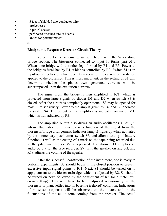- 3 feet of shielded two-conductor wire
- **n** project case
- 8-pin IC socket
- **perf board or eched circuit boards**
- knobs for potentiometers
	- [52]

#### **Biodynamic Response Detector-Circuit Theory**

Referring to the schematic, we will begin with the Wheatstone bridge section. The biosensor connected to input J1 forms part of a Wheatstone bridge with the other legs formed by R1 and R3. Power to the bridge is furnished by B1, which is controlled by R2. Switch S1 is an input/output polarizer which permits reversal of the current or excitation applied to the biosensor. This is most important, as the setting of S1 will determine whether the plant's own generated currents will be superimposed upon the excitation currents.

The signal from the bridge is then amplified in IC1, which is protected from large signals by diodes D1 and D2 when switch S3 is closed. After the circuit is completely operational, S3 may be opened for maximum sensitivity. Power to the amp is given by B2 and B3 operated by switch S4. The output of the amplifier is indicated on meter M1, which is null adjusted by R3.

The amplified output also drives an audio oscillator  $(01 \& 02)$ whose fluctuation of frequency is a function of the signal from the biosensor/bridge arrangement. Indicator lamp I1 lights up when activated by the momentary pushbutton switch S6, and allows testing of battery function as well as the cueing of a mark on the tape being recorded due to the pitch increase as S6 is depressed. Transformer T1 supplies an audio output for the tape recorder, S7 turns the speaker on and off, and R18 adjusts the volume of the speaker.

After the successful construction of the instrument, one is ready to perform experiments. S3 should begin in the closed position to prevent excessive input signal going to IC1. Next, S1 should be turned on to apply current to the biosensor/bridge, which is adjusted by R2. S4 should be turned on next, followed by the adjustment of R3 for a meter null (zero setting). This will have to be readjusted occasionally as the biosensor or plant settles into its baseline (relaxed) condition. Indications of biosensor response will be observed on the meter, and in the fluctuations of the audio tone coming from the speaker. The actual